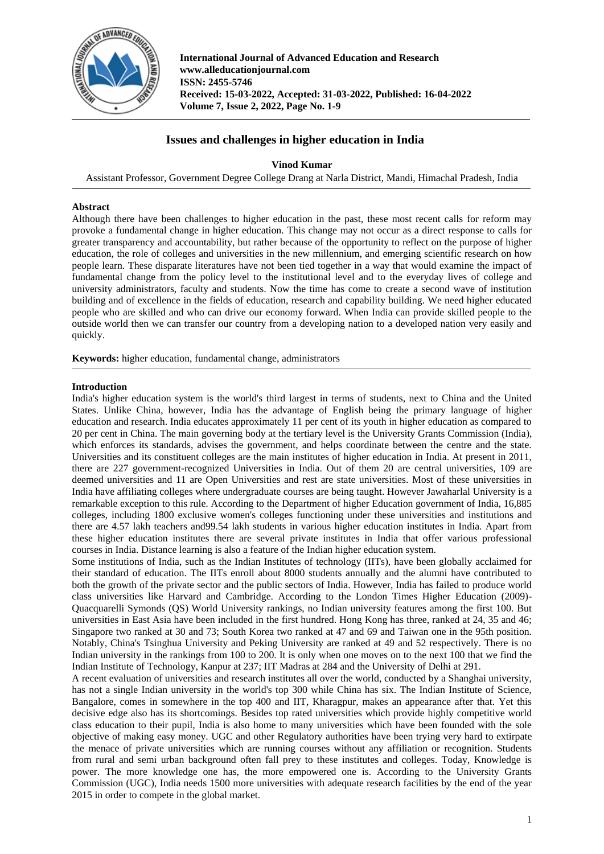

**International Journal of Advanced Education and Research www.alleducationjournal.com ISSN: 2455-5746 Received: 15-03-2022, Accepted: 31-03-2022, Published: 16-04-2022 Volume 7, Issue 2, 2022, Page No. 1-9**

# **Issues and challenges in higher education in India**

**Vinod Kumar**

Assistant Professor, Government Degree College Drang at Narla District, Mandi, Himachal Pradesh, India

## **Abstract**

Although there have been challenges to higher education in the past, these most recent calls for reform may provoke a fundamental change in higher education. This change may not occur as a direct response to calls for greater transparency and accountability, but rather because of the opportunity to reflect on the purpose of higher education, the role of colleges and universities in the new millennium, and emerging scientific research on how people learn. These disparate literatures have not been tied together in a way that would examine the impact of fundamental change from the policy level to the institutional level and to the everyday lives of college and university administrators, faculty and students. Now the time has come to create a second wave of institution building and of excellence in the fields of education, research and capability building. We need higher educated people who are skilled and who can drive our economy forward. When India can provide skilled people to the outside world then we can transfer our country from a developing nation to a developed nation very easily and quickly.

**Keywords:** higher education, fundamental change, administrators

## **Introduction**

India's higher education system is the world's third largest in terms of students, next to China and the United States. Unlike China, however, India has the advantage of English being the primary language of higher education and research. India educates approximately 11 per cent of its youth in higher education as compared to 20 per cent in China. The main governing body at the tertiary level is the University Grants Commission (India), which enforces its standards, advises the government, and helps coordinate between the centre and the state. Universities and its constituent colleges are the main institutes of higher education in India. At present in 2011, there are 227 government-recognized Universities in India. Out of them 20 are central universities, 109 are deemed universities and 11 are Open Universities and rest are state universities. Most of these universities in India have affiliating colleges where undergraduate courses are being taught. However Jawaharlal University is a remarkable exception to this rule. According to the Department of higher Education government of India, 16,885 colleges, including 1800 exclusive women's colleges functioning under these universities and institutions and there are 4.57 lakh teachers and99.54 lakh students in various higher education institutes in India. Apart from these higher education institutes there are several private institutes in India that offer various professional courses in India. Distance learning is also a feature of the Indian higher education system.

Some institutions of India, such as the Indian Institutes of technology (IITs), have been globally acclaimed for their standard of education. The IITs enroll about 8000 students annually and the alumni have contributed to both the growth of the private sector and the public sectors of India. However, India has failed to produce world class universities like Harvard and Cambridge. According to the London Times Higher Education (2009)- Quacquarelli Symonds (QS) World University rankings, no Indian university features among the first 100. But universities in East Asia have been included in the first hundred. Hong Kong has three, ranked at 24, 35 and 46; Singapore two ranked at 30 and 73; South Korea two ranked at 47 and 69 and Taiwan one in the 95th position. Notably, China's Tsinghua University and Peking University are ranked at 49 and 52 respectively. There is no Indian university in the rankings from 100 to 200. It is only when one moves on to the next 100 that we find the Indian Institute of Technology, Kanpur at 237; IIT Madras at 284 and the University of Delhi at 291.

A recent evaluation of universities and research institutes all over the world, conducted by a Shanghai university, has not a single Indian university in the world's top 300 while China has six. The Indian Institute of Science, Bangalore, comes in somewhere in the top 400 and IIT, Kharagpur, makes an appearance after that. Yet this decisive edge also has its shortcomings. Besides top rated universities which provide highly competitive world class education to their pupil, India is also home to many universities which have been founded with the sole objective of making easy money. UGC and other Regulatory authorities have been trying very hard to extirpate the menace of private universities which are running courses without any affiliation or recognition. Students from rural and semi urban background often fall prey to these institutes and colleges. Today, Knowledge is power. The more knowledge one has, the more empowered one is. According to the University Grants Commission (UGC), India needs 1500 more universities with adequate research facilities by the end of the year 2015 in order to compete in the global market.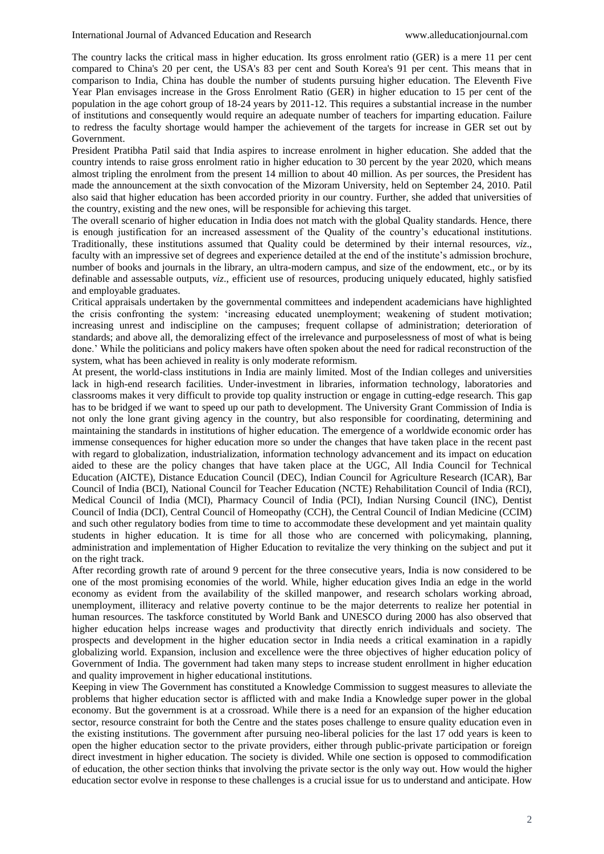The country lacks the critical mass in higher education. Its gross enrolment ratio (GER) is a mere 11 per cent compared to China's 20 per cent, the USA's 83 per cent and South Korea's 91 per cent. This means that in comparison to India, China has double the number of students pursuing higher education. The Eleventh Five Year Plan envisages increase in the Gross Enrolment Ratio (GER) in higher education to 15 per cent of the population in the age cohort group of 18-24 years by 2011-12. This requires a substantial increase in the number of institutions and consequently would require an adequate number of teachers for imparting education. Failure to redress the faculty shortage would hamper the achievement of the targets for increase in GER set out by Government.

President Pratibha Patil said that India aspires to increase enrolment in higher education. She added that the country intends to raise gross enrolment ratio in higher education to 30 percent by the year 2020, which means almost tripling the enrolment from the present 14 million to about 40 million. As per sources, the President has made the announcement at the sixth convocation of the Mizoram University, held on September 24, 2010. Patil also said that higher education has been accorded priority in our country. Further, she added that universities of the country, existing and the new ones, will be responsible for achieving this target.

The overall scenario of higher education in India does not match with the global Quality standards. Hence, there is enough justification for an increased assessment of the Quality of the country's educational institutions. Traditionally, these institutions assumed that Quality could be determined by their internal resources, *viz*., faculty with an impressive set of degrees and experience detailed at the end of the institute's admission brochure, number of books and journals in the library, an ultra-modern campus, and size of the endowment, etc., or by its definable and assessable outputs, *viz*., efficient use of resources, producing uniquely educated, highly satisfied and employable graduates.

Critical appraisals undertaken by the governmental committees and independent academicians have highlighted the crisis confronting the system: 'increasing educated unemployment; weakening of student motivation; increasing unrest and indiscipline on the campuses; frequent collapse of administration; deterioration of standards; and above all, the demoralizing effect of the irrelevance and purposelessness of most of what is being done.' While the politicians and policy makers have often spoken about the need for radical reconstruction of the system, what has been achieved in reality is only moderate reformism.

At present, the world-class institutions in India are mainly limited. Most of the Indian colleges and universities lack in high-end research facilities. Under-investment in libraries, information technology, laboratories and classrooms makes it very difficult to provide top quality instruction or engage in cutting-edge research. This gap has to be bridged if we want to speed up our path to development. The University Grant Commission of India is not only the lone grant giving agency in the country, but also responsible for coordinating, determining and maintaining the standards in institutions of higher education. The emergence of a worldwide economic order has immense consequences for higher education more so under the changes that have taken place in the recent past with regard to globalization, industrialization, information technology advancement and its impact on education aided to these are the policy changes that have taken place at the UGC, All India Council for Technical Education (AICTE), Distance Education Council (DEC), Indian Council for Agriculture Research (ICAR), Bar Council of India (BCI), National Council for Teacher Education (NCTE) Rehabilitation Council of India (RCI), Medical Council of India (MCI), Pharmacy Council of India (PCI), Indian Nursing Council (INC), Dentist Council of India (DCI), Central Council of Homeopathy (CCH), the Central Council of Indian Medicine (CCIM) and such other regulatory bodies from time to time to accommodate these development and yet maintain quality students in higher education. It is time for all those who are concerned with policymaking, planning, administration and implementation of Higher Education to revitalize the very thinking on the subject and put it on the right track.

After recording growth rate of around 9 percent for the three consecutive years, India is now considered to be one of the most promising economies of the world. While, higher education gives India an edge in the world economy as evident from the availability of the skilled manpower, and research scholars working abroad, unemployment, illiteracy and relative poverty continue to be the major deterrents to realize her potential in human resources. The taskforce constituted by World Bank and UNESCO during 2000 has also observed that higher education helps increase wages and productivity that directly enrich individuals and society. The prospects and development in the higher education sector in India needs a critical examination in a rapidly globalizing world. Expansion, inclusion and excellence were the three objectives of higher education policy of Government of India. The government had taken many steps to increase student enrollment in higher education and quality improvement in higher educational institutions.

Keeping in view The Government has constituted a Knowledge Commission to suggest measures to alleviate the problems that higher education sector is afflicted with and make India a Knowledge super power in the global economy. But the government is at a crossroad. While there is a need for an expansion of the higher education sector, resource constraint for both the Centre and the states poses challenge to ensure quality education even in the existing institutions. The government after pursuing neo-liberal policies for the last 17 odd years is keen to open the higher education sector to the private providers, either through public-private participation or foreign direct investment in higher education. The society is divided. While one section is opposed to commodification of education, the other section thinks that involving the private sector is the only way out. How would the higher education sector evolve in response to these challenges is a crucial issue for us to understand and anticipate. How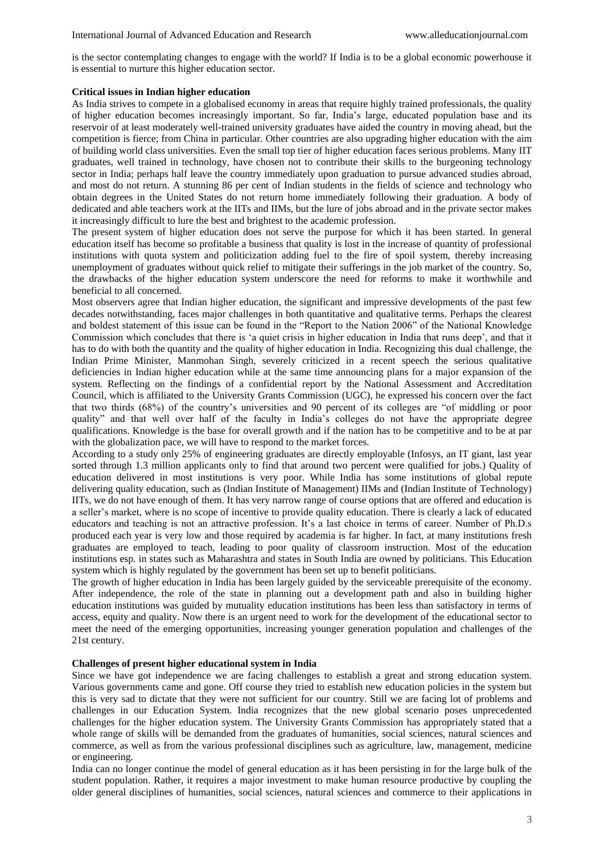is the sector contemplating changes to engage with the world? If India is to be a global economic powerhouse it is essential to nurture this higher education sector.

#### **Critical issues in Indian higher education**

As India strives to compete in a globalised economy in areas that require highly trained professionals, the quality of higher education becomes increasingly important. So far, India's large, educated population base and its reservoir of at least moderately well-trained university graduates have aided the country in moving ahead, but the competition is fierce; from China in particular. Other countries are also upgrading higher education with the aim of building world class universities. Even the small top tier of higher education faces serious problems. Many IIT graduates, well trained in technology, have chosen not to contribute their skills to the burgeoning technology sector in India; perhaps half leave the country immediately upon graduation to pursue advanced studies abroad, and most do not return. A stunning 86 per cent of Indian students in the fields of science and technology who obtain degrees in the United States do not return home immediately following their graduation. A body of dedicated and able teachers work at the IITs and IIMs, but the lure of jobs abroad and in the private sector makes it increasingly difficult to lure the best and brightest to the academic profession.

The present system of higher education does not serve the purpose for which it has been started. In general education itself has become so profitable a business that quality is lost in the increase of quantity of professional institutions with quota system and politicization adding fuel to the fire of spoil system, thereby increasing unemployment of graduates without quick relief to mitigate their sufferings in the job market of the country. So, the drawbacks of the higher education system underscore the need for reforms to make it worthwhile and beneficial to all concerned.

Most observers agree that Indian higher education, the significant and impressive developments of the past few decades notwithstanding, faces major challenges in both quantitative and qualitative terms. Perhaps the clearest and boldest statement of this issue can be found in the "Report to the Nation 2006" of the National Knowledge Commission which concludes that there is 'a quiet crisis in higher education in India that runs deep', and that it has to do with both the quantity and the quality of higher education in India. Recognizing this dual challenge, the Indian Prime Minister, Manmohan Singh, severely criticized in a recent speech the serious qualitative deficiencies in Indian higher education while at the same time announcing plans for a major expansion of the system. Reflecting on the findings of a confidential report by the National Assessment and Accreditation Council, which is affiliated to the University Grants Commission (UGC), he expressed his concern over the fact that two thirds (68%) of the country's universities and 90 percent of its colleges are "of middling or poor quality" and that well over half of the faculty in India's colleges do not have the appropriate degree qualifications. Knowledge is the base for overall growth and if the nation has to be competitive and to be at par with the globalization pace, we will have to respond to the market forces.

According to a study only 25% of engineering graduates are directly employable (Infosys, an IT giant, last year sorted through 1.3 million applicants only to find that around two percent were qualified for jobs.) Quality of education delivered in most institutions is very poor. While India has some institutions of global repute delivering quality education, such as (Indian Institute of Management) IIMs and (Indian Institute of Technology) IITs, we do not have enough of them. It has very narrow range of course options that are offered and education is a seller's market, where is no scope of incentive to provide quality education. There is clearly a lack of educated educators and teaching is not an attractive profession. It's a last choice in terms of career. Number of Ph.D.s produced each year is very low and those required by academia is far higher. In fact, at many institutions fresh graduates are employed to teach, leading to poor quality of classroom instruction. Most of the education institutions esp. in states such as Maharashtra and states in South India are owned by politicians. This Education system which is highly regulated by the government has been set up to benefit politicians.

The growth of higher education in India has been largely guided by the serviceable prerequisite of the economy. After independence, the role of the state in planning out a development path and also in building higher education institutions was guided by mutuality education institutions has been less than satisfactory in terms of access, equity and quality. Now there is an urgent need to work for the development of the educational sector to meet the need of the emerging opportunities, increasing younger generation population and challenges of the 21st century.

## **Challenges of present higher educational system in India**

Since we have got independence we are facing challenges to establish a great and strong education system. Various governments came and gone. Off course they tried to establish new education policies in the system but this is very sad to dictate that they were not sufficient for our country. Still we are facing lot of problems and challenges in our Education System. India recognizes that the new global scenario poses unprecedented challenges for the higher education system. The University Grants Commission has appropriately stated that a whole range of skills will be demanded from the graduates of humanities, social sciences, natural sciences and commerce, as well as from the various professional disciplines such as agriculture, law, management, medicine or engineering.

India can no longer continue the model of general education as it has been persisting in for the large bulk of the student population. Rather, it requires a major investment to make human resource productive by coupling the older general disciplines of humanities, social sciences, natural sciences and commerce to their applications in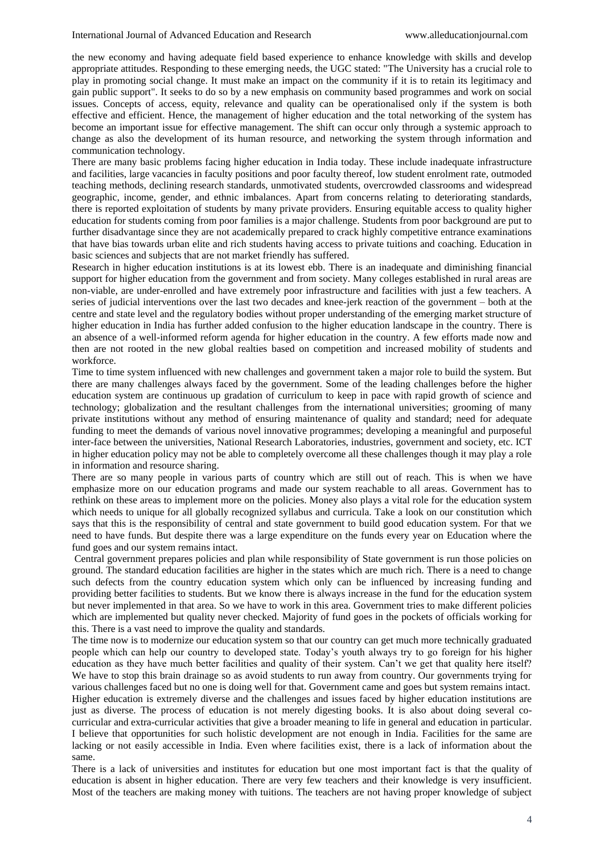the new economy and having adequate field based experience to enhance knowledge with skills and develop appropriate attitudes. Responding to these emerging needs, the UGC stated: "The University has a crucial role to play in promoting social change. It must make an impact on the community if it is to retain its legitimacy and gain public support". It seeks to do so by a new emphasis on community based programmes and work on social issues. Concepts of access, equity, relevance and quality can be operationalised only if the system is both effective and efficient. Hence, the management of higher education and the total networking of the system has become an important issue for effective management. The shift can occur only through a systemic approach to change as also the development of its human resource, and networking the system through information and communication technology.

There are many basic problems facing higher education in India today. These include inadequate infrastructure and facilities, large vacancies in faculty positions and poor faculty thereof, low student enrolment rate, outmoded teaching methods, declining research standards, unmotivated students, overcrowded classrooms and widespread geographic, income, gender, and ethnic imbalances. Apart from concerns relating to deteriorating standards, there is reported exploitation of students by many private providers. Ensuring equitable access to quality higher education for students coming from poor families is a major challenge. Students from poor background are put to further disadvantage since they are not academically prepared to crack highly competitive entrance examinations that have bias towards urban elite and rich students having access to private tuitions and coaching. Education in basic sciences and subjects that are not market friendly has suffered.

Research in higher education institutions is at its lowest ebb. There is an inadequate and diminishing financial support for higher education from the government and from society. Many colleges established in rural areas are non-viable, are under-enrolled and have extremely poor infrastructure and facilities with just a few teachers. A series of judicial interventions over the last two decades and knee-jerk reaction of the government – both at the centre and state level and the regulatory bodies without proper understanding of the emerging market structure of higher education in India has further added confusion to the higher education landscape in the country. There is an absence of a well-informed reform agenda for higher education in the country. A few efforts made now and then are not rooted in the new global realties based on competition and increased mobility of students and workforce.

Time to time system influenced with new challenges and government taken a major role to build the system. But there are many challenges always faced by the government. Some of the leading challenges before the higher education system are continuous up gradation of curriculum to keep in pace with rapid growth of science and technology; globalization and the resultant challenges from the international universities; grooming of many private institutions without any method of ensuring maintenance of quality and standard; need for adequate funding to meet the demands of various novel innovative programmes; developing a meaningful and purposeful inter-face between the universities, National Research Laboratories, industries, government and society, etc. ICT in higher education policy may not be able to completely overcome all these challenges though it may play a role in information and resource sharing.

There are so many people in various parts of country which are still out of reach. This is when we have emphasize more on our education programs and made our system reachable to all areas. Government has to rethink on these areas to implement more on the policies. Money also plays a vital role for the education system which needs to unique for all globally recognized syllabus and curricula. Take a look on our constitution which says that this is the responsibility of central and state government to build good education system. For that we need to have funds. But despite there was a large expenditure on the funds every year on Education where the fund goes and our system remains intact.

Central government prepares policies and plan while responsibility of State government is run those policies on ground. The standard education facilities are higher in the states which are much rich. There is a need to change such defects from the country education system which only can be influenced by increasing funding and providing better facilities to students. But we know there is always increase in the fund for the education system but never implemented in that area. So we have to work in this area. Government tries to make different policies which are implemented but quality never checked. Majority of fund goes in the pockets of officials working for this. There is a vast need to improve the quality and standards.

The time now is to modernize our education system so that our country can get much more technically graduated people which can help our country to developed state. Today's youth always try to go foreign for his higher education as they have much better facilities and quality of their system. Can't we get that quality here itself? We have to stop this brain drainage so as avoid students to run away from country. Our governments trying for various challenges faced but no one is doing well for that. Government came and goes but system remains intact. Higher education is extremely diverse and the challenges and issues faced by higher education institutions are just as diverse. The process of education is not merely digesting books. It is also about doing several cocurricular and extra-curricular activities that give a broader meaning to life in general and education in particular. I believe that opportunities for such holistic development are not enough in India. Facilities for the same are lacking or not easily accessible in India. Even where facilities exist, there is a lack of information about the same.

There is a lack of universities and institutes for education but one most important fact is that the quality of education is absent in higher education. There are very few teachers and their knowledge is very insufficient. Most of the teachers are making money with tuitions. The teachers are not having proper knowledge of subject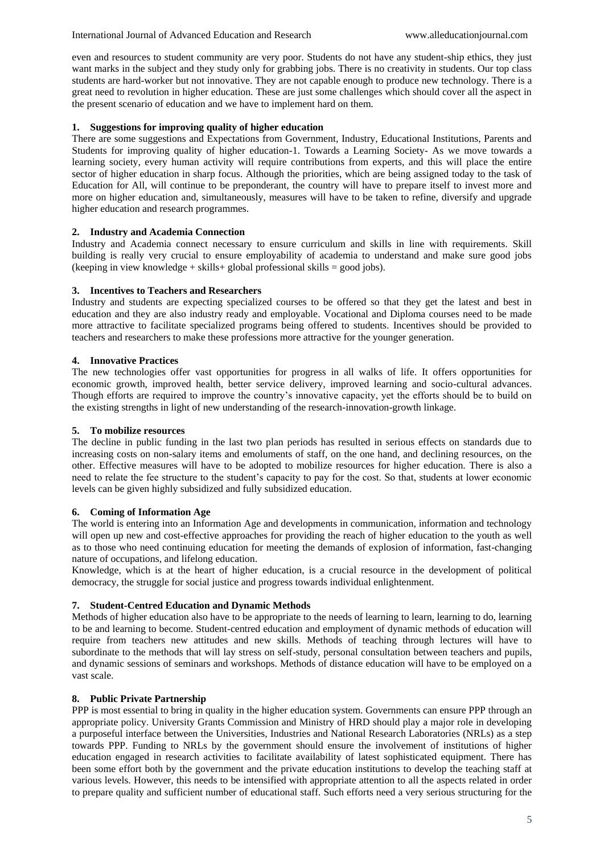even and resources to student community are very poor. Students do not have any student-ship ethics, they just want marks in the subject and they study only for grabbing jobs. There is no creativity in students. Our top class students are hard-worker but not innovative. They are not capable enough to produce new technology. There is a great need to revolution in higher education. These are just some challenges which should cover all the aspect in the present scenario of education and we have to implement hard on them.

## **1. Suggestions for improving quality of higher education**

There are some suggestions and Expectations from Government, Industry, Educational Institutions, Parents and Students for improving quality of higher education-1. Towards a Learning Society- As we move towards a learning society, every human activity will require contributions from experts, and this will place the entire sector of higher education in sharp focus. Although the priorities, which are being assigned today to the task of Education for All, will continue to be preponderant, the country will have to prepare itself to invest more and more on higher education and, simultaneously, measures will have to be taken to refine, diversify and upgrade higher education and research programmes.

## **2. Industry and Academia Connection**

Industry and Academia connect necessary to ensure curriculum and skills in line with requirements. Skill building is really very crucial to ensure employability of academia to understand and make sure good jobs (keeping in view knowledge + skills + global professional skills = good jobs).

## **3. Incentives to Teachers and Researchers**

Industry and students are expecting specialized courses to be offered so that they get the latest and best in education and they are also industry ready and employable. Vocational and Diploma courses need to be made more attractive to facilitate specialized programs being offered to students. Incentives should be provided to teachers and researchers to make these professions more attractive for the younger generation.

## **4. Innovative Practices**

The new technologies offer vast opportunities for progress in all walks of life. It offers opportunities for economic growth, improved health, better service delivery, improved learning and socio-cultural advances. Though efforts are required to improve the country's innovative capacity, yet the efforts should be to build on the existing strengths in light of new understanding of the research-innovation-growth linkage.

### **5. To mobilize resources**

The decline in public funding in the last two plan periods has resulted in serious effects on standards due to increasing costs on non-salary items and emoluments of staff, on the one hand, and declining resources, on the other. Effective measures will have to be adopted to mobilize resources for higher education. There is also a need to relate the fee structure to the student's capacity to pay for the cost. So that, students at lower economic levels can be given highly subsidized and fully subsidized education.

## **6. Coming of Information Age**

The world is entering into an Information Age and developments in communication, information and technology will open up new and cost-effective approaches for providing the reach of higher education to the youth as well as to those who need continuing education for meeting the demands of explosion of information, fast-changing nature of occupations, and lifelong education.

Knowledge, which is at the heart of higher education, is a crucial resource in the development of political democracy, the struggle for social justice and progress towards individual enlightenment.

## **7. Student-Centred Education and Dynamic Methods**

Methods of higher education also have to be appropriate to the needs of learning to learn, learning to do, learning to be and learning to become. Student-centred education and employment of dynamic methods of education will require from teachers new attitudes and new skills. Methods of teaching through lectures will have to subordinate to the methods that will lay stress on self-study, personal consultation between teachers and pupils, and dynamic sessions of seminars and workshops. Methods of distance education will have to be employed on a vast scale.

### **8. Public Private Partnership**

PPP is most essential to bring in quality in the higher education system. Governments can ensure PPP through an appropriate policy. University Grants Commission and Ministry of HRD should play a major role in developing a purposeful interface between the Universities, Industries and National Research Laboratories (NRLs) as a step towards PPP. Funding to NRLs by the government should ensure the involvement of institutions of higher education engaged in research activities to facilitate availability of latest sophisticated equipment. There has been some effort both by the government and the private education institutions to develop the teaching staff at various levels. However, this needs to be intensified with appropriate attention to all the aspects related in order to prepare quality and sufficient number of educational staff. Such efforts need a very serious structuring for the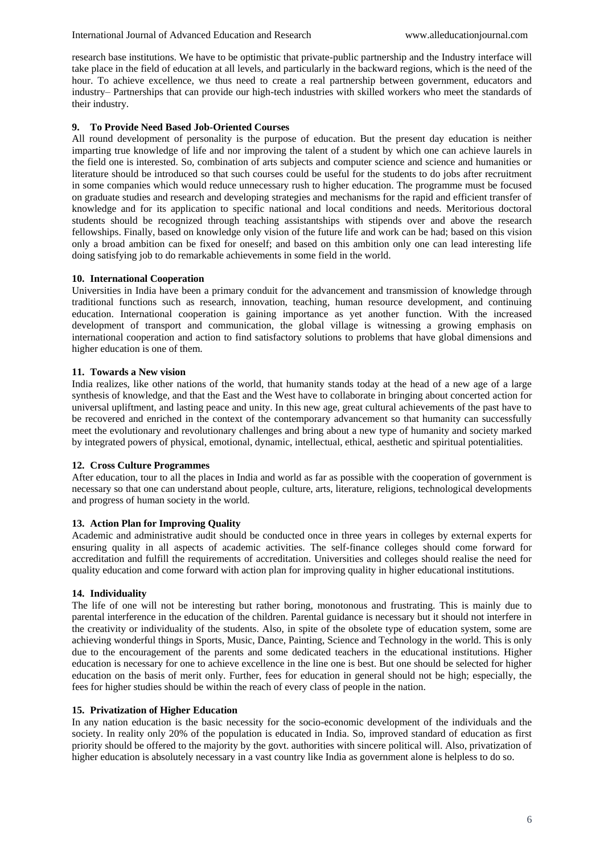research base institutions. We have to be optimistic that private-public partnership and the Industry interface will take place in the field of education at all levels, and particularly in the backward regions, which is the need of the hour. To achieve excellence, we thus need to create a real partnership between government, educators and industry– Partnerships that can provide our high-tech industries with skilled workers who meet the standards of their industry.

## **9. To Provide Need Based Job-Oriented Courses**

All round development of personality is the purpose of education. But the present day education is neither imparting true knowledge of life and nor improving the talent of a student by which one can achieve laurels in the field one is interested. So, combination of arts subjects and computer science and science and humanities or literature should be introduced so that such courses could be useful for the students to do jobs after recruitment in some companies which would reduce unnecessary rush to higher education. The programme must be focused on graduate studies and research and developing strategies and mechanisms for the rapid and efficient transfer of knowledge and for its application to specific national and local conditions and needs. Meritorious doctoral students should be recognized through teaching assistantships with stipends over and above the research fellowships. Finally, based on knowledge only vision of the future life and work can be had; based on this vision only a broad ambition can be fixed for oneself; and based on this ambition only one can lead interesting life doing satisfying job to do remarkable achievements in some field in the world.

## **10. International Cooperation**

Universities in India have been a primary conduit for the advancement and transmission of knowledge through traditional functions such as research, innovation, teaching, human resource development, and continuing education. International cooperation is gaining importance as yet another function. With the increased development of transport and communication, the global village is witnessing a growing emphasis on international cooperation and action to find satisfactory solutions to problems that have global dimensions and higher education is one of them.

## **11. Towards a New vision**

India realizes, like other nations of the world, that humanity stands today at the head of a new age of a large synthesis of knowledge, and that the East and the West have to collaborate in bringing about concerted action for universal upliftment, and lasting peace and unity. In this new age, great cultural achievements of the past have to be recovered and enriched in the context of the contemporary advancement so that humanity can successfully meet the evolutionary and revolutionary challenges and bring about a new type of humanity and society marked by integrated powers of physical, emotional, dynamic, intellectual, ethical, aesthetic and spiritual potentialities.

### **12. Cross Culture Programmes**

After education, tour to all the places in India and world as far as possible with the cooperation of government is necessary so that one can understand about people, culture, arts, literature, religions, technological developments and progress of human society in the world.

## **13. Action Plan for Improving Quality**

Academic and administrative audit should be conducted once in three years in colleges by external experts for ensuring quality in all aspects of academic activities. The self-finance colleges should come forward for accreditation and fulfill the requirements of accreditation. Universities and colleges should realise the need for quality education and come forward with action plan for improving quality in higher educational institutions.

## **14. Individuality**

The life of one will not be interesting but rather boring, monotonous and frustrating. This is mainly due to parental interference in the education of the children. Parental guidance is necessary but it should not interfere in the creativity or individuality of the students. Also, in spite of the obsolete type of education system, some are achieving wonderful things in Sports, Music, Dance, Painting, Science and Technology in the world. This is only due to the encouragement of the parents and some dedicated teachers in the educational institutions. Higher education is necessary for one to achieve excellence in the line one is best. But one should be selected for higher education on the basis of merit only. Further, fees for education in general should not be high; especially, the fees for higher studies should be within the reach of every class of people in the nation.

### **15. Privatization of Higher Education**

In any nation education is the basic necessity for the socio-economic development of the individuals and the society. In reality only 20% of the population is educated in India. So, improved standard of education as first priority should be offered to the majority by the govt. authorities with sincere political will. Also, privatization of higher education is absolutely necessary in a vast country like India as government alone is helpless to do so.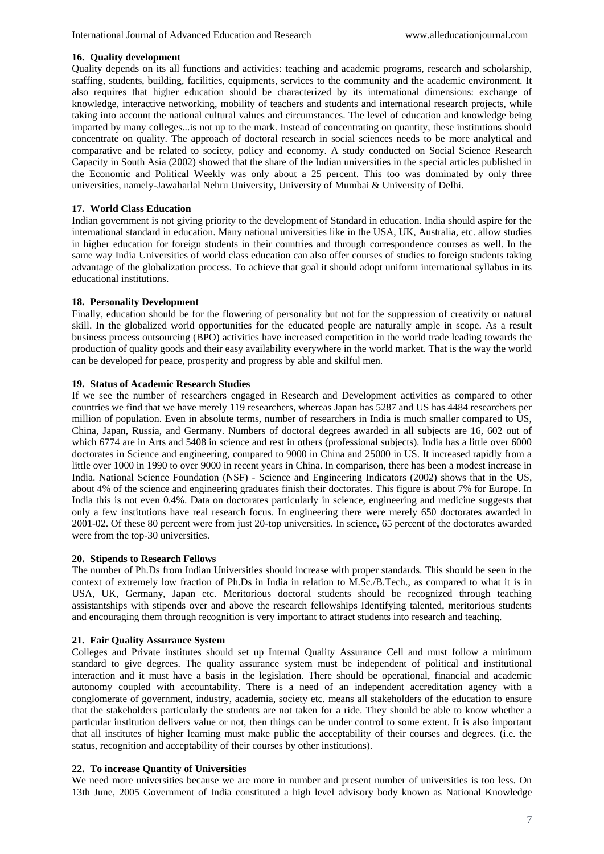### **16. Quality development**

Quality depends on its all functions and activities: teaching and academic programs, research and scholarship, staffing, students, building, facilities, equipments, services to the community and the academic environment. It also requires that higher education should be characterized by its international dimensions: exchange of knowledge, interactive networking, mobility of teachers and students and international research projects, while taking into account the national cultural values and circumstances. The level of education and knowledge being imparted by many colleges...is not up to the mark. Instead of concentrating on quantity, these institutions should concentrate on quality. The approach of doctoral research in social sciences needs to be more analytical and comparative and be related to society, policy and economy. A study conducted on Social Science Research Capacity in South Asia (2002) showed that the share of the Indian universities in the special articles published in the Economic and Political Weekly was only about a 25 percent. This too was dominated by only three universities, namely-Jawaharlal Nehru University, University of Mumbai & University of Delhi.

## **17. World Class Education**

Indian government is not giving priority to the development of Standard in education. India should aspire for the international standard in education. Many national universities like in the USA, UK, Australia, etc. allow studies in higher education for foreign students in their countries and through correspondence courses as well. In the same way India Universities of world class education can also offer courses of studies to foreign students taking advantage of the globalization process. To achieve that goal it should adopt uniform international syllabus in its educational institutions.

## **18. Personality Development**

Finally, education should be for the flowering of personality but not for the suppression of creativity or natural skill. In the globalized world opportunities for the educated people are naturally ample in scope. As a result business process outsourcing (BPO) activities have increased competition in the world trade leading towards the production of quality goods and their easy availability everywhere in the world market. That is the way the world can be developed for peace, prosperity and progress by able and skilful men.

### **19. Status of Academic Research Studies**

If we see the number of researchers engaged in Research and Development activities as compared to other countries we find that we have merely 119 researchers, whereas Japan has 5287 and US has 4484 researchers per million of population. Even in absolute terms, number of researchers in India is much smaller compared to US, China, Japan, Russia, and Germany. Numbers of doctoral degrees awarded in all subjects are 16, 602 out of which 6774 are in Arts and 5408 in science and rest in others (professional subjects). India has a little over 6000 doctorates in Science and engineering, compared to 9000 in China and 25000 in US. It increased rapidly from a little over 1000 in 1990 to over 9000 in recent years in China. In comparison, there has been a modest increase in India. National Science Foundation (NSF) - Science and Engineering Indicators (2002) shows that in the US, about 4% of the science and engineering graduates finish their doctorates. This figure is about 7% for Europe. In India this is not even 0.4%. Data on doctorates particularly in science, engineering and medicine suggests that only a few institutions have real research focus. In engineering there were merely 650 doctorates awarded in 2001-02. Of these 80 percent were from just 20-top universities. In science, 65 percent of the doctorates awarded were from the top-30 universities.

### **20. Stipends to Research Fellows**

The number of Ph.Ds from Indian Universities should increase with proper standards. This should be seen in the context of extremely low fraction of Ph.Ds in India in relation to M.Sc./B.Tech., as compared to what it is in USA, UK, Germany, Japan etc. Meritorious doctoral students should be recognized through teaching assistantships with stipends over and above the research fellowships Identifying talented, meritorious students and encouraging them through recognition is very important to attract students into research and teaching.

## **21. Fair Quality Assurance System**

Colleges and Private institutes should set up Internal Quality Assurance Cell and must follow a minimum standard to give degrees. The quality assurance system must be independent of political and institutional interaction and it must have a basis in the legislation. There should be operational, financial and academic autonomy coupled with accountability. There is a need of an independent accreditation agency with a conglomerate of government, industry, academia, society etc. means all stakeholders of the education to ensure that the stakeholders particularly the students are not taken for a ride. They should be able to know whether a particular institution delivers value or not, then things can be under control to some extent. It is also important that all institutes of higher learning must make public the acceptability of their courses and degrees. (i.e. the status, recognition and acceptability of their courses by other institutions).

### **22. To increase Quantity of Universities**

We need more universities because we are more in number and present number of universities is too less. On 13th June, 2005 Government of India constituted a high level advisory body known as National Knowledge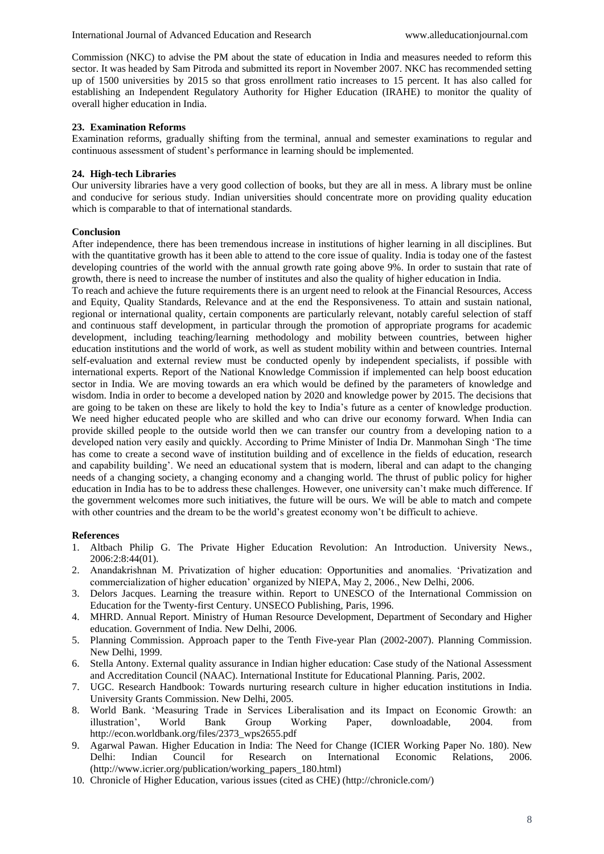Commission (NKC) to advise the PM about the state of education in India and measures needed to reform this sector. It was headed by Sam Pitroda and submitted its report in November 2007. NKC has recommended setting up of 1500 universities by 2015 so that gross enrollment ratio increases to 15 percent. It has also called for establishing an Independent Regulatory Authority for Higher Education (IRAHE) to monitor the quality of overall higher education in India.

## **23. Examination Reforms**

Examination reforms, gradually shifting from the terminal, annual and semester examinations to regular and continuous assessment of student's performance in learning should be implemented.

## **24. High-tech Libraries**

Our university libraries have a very good collection of books, but they are all in mess. A library must be online and conducive for serious study. Indian universities should concentrate more on providing quality education which is comparable to that of international standards.

## **Conclusion**

After independence, there has been tremendous increase in institutions of higher learning in all disciplines. But with the quantitative growth has it been able to attend to the core issue of quality. India is today one of the fastest developing countries of the world with the annual growth rate going above 9%. In order to sustain that rate of growth, there is need to increase the number of institutes and also the quality of higher education in India.

To reach and achieve the future requirements there is an urgent need to relook at the Financial Resources, Access and Equity, Quality Standards, Relevance and at the end the Responsiveness. To attain and sustain national, regional or international quality, certain components are particularly relevant, notably careful selection of staff and continuous staff development, in particular through the promotion of appropriate programs for academic development, including teaching/learning methodology and mobility between countries, between higher education institutions and the world of work, as well as student mobility within and between countries. Internal self-evaluation and external review must be conducted openly by independent specialists, if possible with international experts. Report of the National Knowledge Commission if implemented can help boost education sector in India. We are moving towards an era which would be defined by the parameters of knowledge and wisdom. India in order to become a developed nation by 2020 and knowledge power by 2015. The decisions that are going to be taken on these are likely to hold the key to India's future as a center of knowledge production. We need higher educated people who are skilled and who can drive our economy forward. When India can provide skilled people to the outside world then we can transfer our country from a developing nation to a developed nation very easily and quickly. According to Prime Minister of India Dr. Manmohan Singh 'The time has come to create a second wave of institution building and of excellence in the fields of education, research and capability building'. We need an educational system that is modern, liberal and can adapt to the changing needs of a changing society, a changing economy and a changing world. The thrust of public policy for higher education in India has to be to address these challenges. However, one university can't make much difference. If the government welcomes more such initiatives, the future will be ours. We will be able to match and compete with other countries and the dream to be the world's greatest economy won't be difficult to achieve.

### **References**

- 1. Altbach Philip G. The Private Higher Education Revolution: An Introduction. University News., 2006:2:8:44(01).
- 2. Anandakrishnan M. Privatization of higher education: Opportunities and anomalies. 'Privatization and commercialization of higher education' organized by NIEPA, May 2, 2006., New Delhi, 2006.
- 3. Delors Jacques. Learning the treasure within. Report to UNESCO of the International Commission on Education for the Twenty-first Century. UNSECO Publishing, Paris, 1996.
- 4. MHRD. Annual Report. Ministry of Human Resource Development, Department of Secondary and Higher education. Government of India. New Delhi, 2006.
- 5. Planning Commission. Approach paper to the Tenth Five-year Plan (2002-2007). Planning Commission. New Delhi, 1999.
- 6. Stella Antony. External quality assurance in Indian higher education: Case study of the National Assessment and Accreditation Council (NAAC). International Institute for Educational Planning. Paris, 2002.
- 7. UGC. Research Handbook: Towards nurturing research culture in higher education institutions in India. University Grants Commission. New Delhi, 2005.
- 8. World Bank. 'Measuring Trade in Services Liberalisation and its Impact on Economic Growth: an illustration', World Bank Group Working Paper, downloadable, 2004. from http://econ.worldbank.org/files/2373\_wps2655.pdf
- 9. Agarwal Pawan. Higher Education in India: The Need for Change (ICIER Working Paper No. 180). New Delhi: Indian Council for Research on International Economic Relations, 2006. (http://www.icrier.org/publication/working\_papers\_180.html)
- 10. Chronicle of Higher Education, various issues (cited as CHE) (http://chronicle.com/)